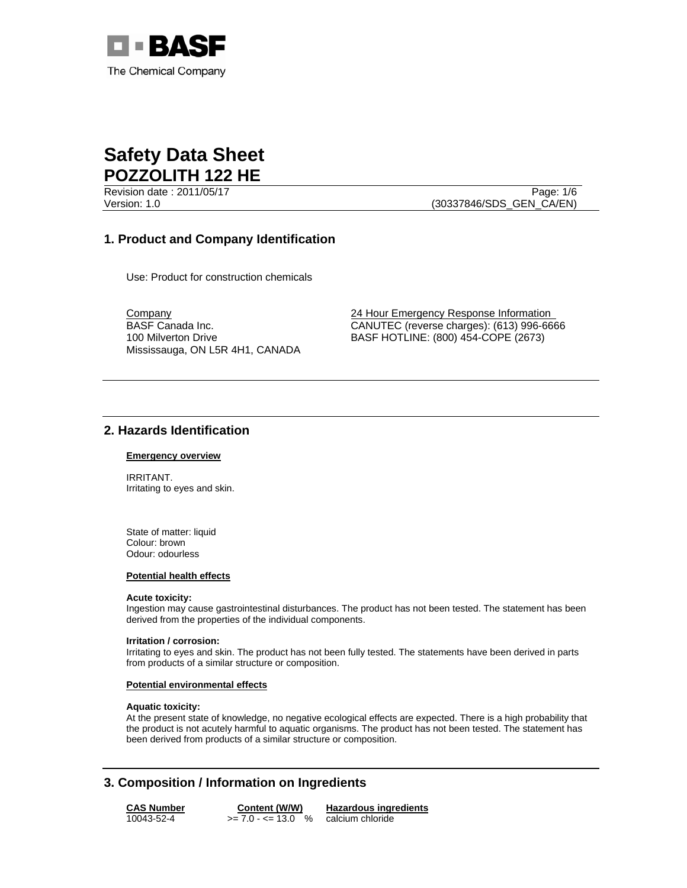

Revision date : 2011/05/17 Page: 1/6 Version: 1.0 (30337846/SDS\_GEN\_CA/EN)

## **1. Product and Company Identification**

Use: Product for construction chemicals

BASF Canada Inc. 100 Milverton Drive Mississauga, ON L5R 4H1, CANADA

Company 24 Hour Emergency Response Information CANUTEC (reverse charges): (613) 996-6666 BASF HOTLINE: (800) 454-COPE (2673)

## **2. Hazards Identification**

#### **Emergency overview**

IRRITANT. Irritating to eyes and skin.

State of matter: liquid Colour: brown Odour: odourless

#### **Potential health effects**

#### **Acute toxicity:**

Ingestion may cause gastrointestinal disturbances. The product has not been tested. The statement has been derived from the properties of the individual components.

#### **Irritation / corrosion:**

Irritating to eyes and skin. The product has not been fully tested. The statements have been derived in parts from products of a similar structure or composition.

#### **Potential environmental effects**

#### **Aquatic toxicity:**

At the present state of knowledge, no negative ecological effects are expected. There is a high probability that the product is not acutely harmful to aquatic organisms. The product has not been tested. The statement has been derived from products of a similar structure or composition.

# **3. Composition / Information on Ingredients**

**CAS Number Content (W/W) Hazardous ingredients** 10043-52-4  $>= 7.0 - 13.0$  % calcium chloride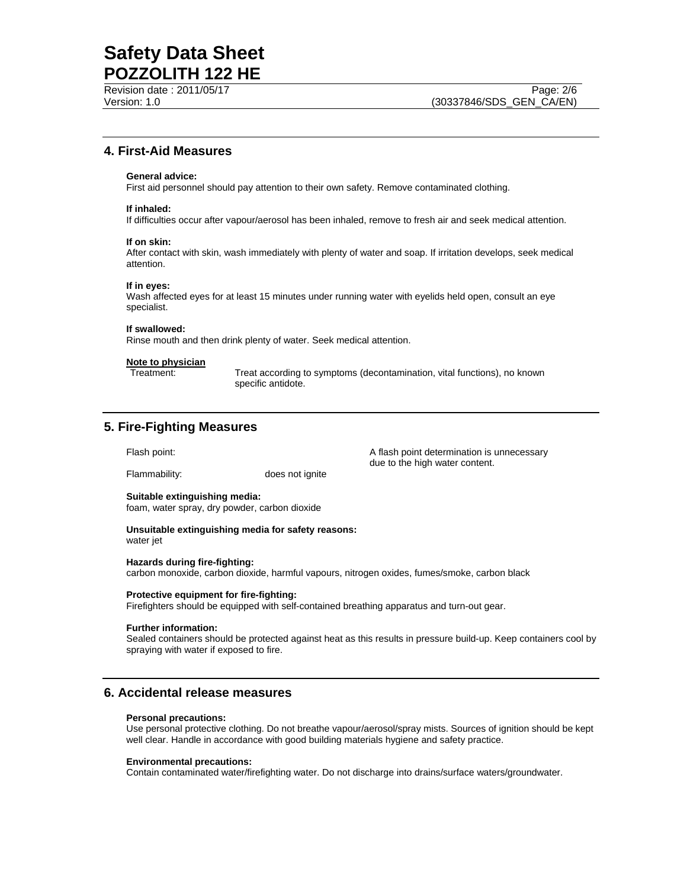Revision date : 2011/05/17 Page: 2/6

## **4. First-Aid Measures**

#### **General advice:**

First aid personnel should pay attention to their own safety. Remove contaminated clothing.

#### **If inhaled:**

If difficulties occur after vapour/aerosol has been inhaled, remove to fresh air and seek medical attention.

#### **If on skin:**

After contact with skin, wash immediately with plenty of water and soap. If irritation develops, seek medical attention.

#### **If in eyes:**

Wash affected eyes for at least 15 minutes under running water with eyelids held open, consult an eye specialist.

#### **If swallowed:**

Rinse mouth and then drink plenty of water. Seek medical attention.

### **Note to physician**

Treatment: Treat according to symptoms (decontamination, vital functions), no known specific antidote.

### **5. Fire-Fighting Measures**

Flammability: does not ignite

Flash point: The state of the A flash point determination is unnecessary due to the high water content.

#### **Suitable extinguishing media:**

foam, water spray, dry powder, carbon dioxide

**Unsuitable extinguishing media for safety reasons:**  water jet

#### **Hazards during fire-fighting:**

carbon monoxide, carbon dioxide, harmful vapours, nitrogen oxides, fumes/smoke, carbon black

#### **Protective equipment for fire-fighting:**

Firefighters should be equipped with self-contained breathing apparatus and turn-out gear.

#### **Further information:**

Sealed containers should be protected against heat as this results in pressure build-up. Keep containers cool by spraying with water if exposed to fire.

## **6. Accidental release measures**

#### **Personal precautions:**

Use personal protective clothing. Do not breathe vapour/aerosol/spray mists. Sources of ignition should be kept well clear. Handle in accordance with good building materials hygiene and safety practice.

#### **Environmental precautions:**

Contain contaminated water/firefighting water. Do not discharge into drains/surface waters/groundwater.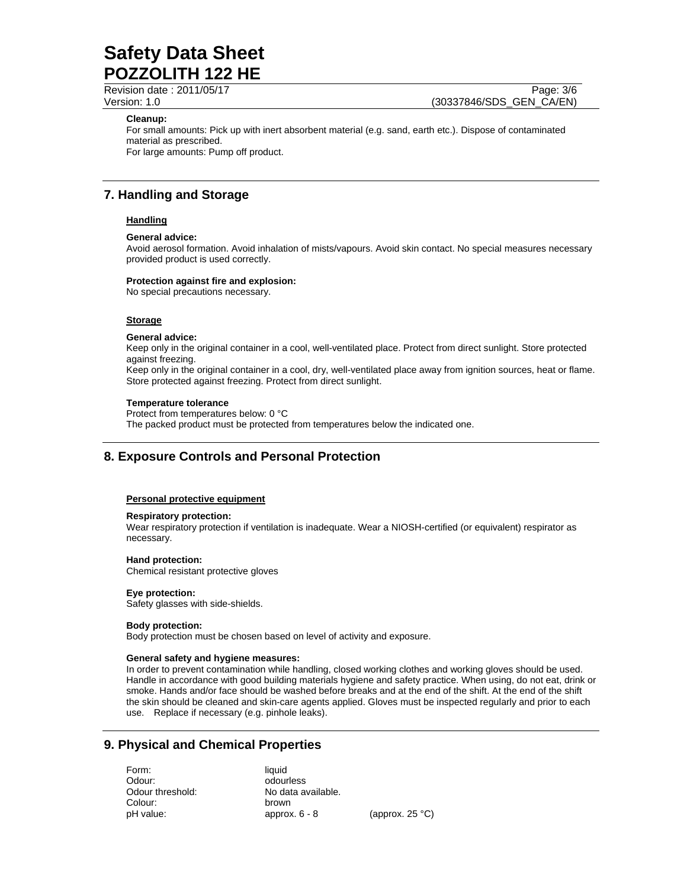Revision date : 2011/05/17 Page: 3/6

Version: 1.0 (30337846/SDS\_GEN\_CA/EN)

#### **Cleanup:**

For small amounts: Pick up with inert absorbent material (e.g. sand, earth etc.). Dispose of contaminated material as prescribed. For large amounts: Pump off product.

## **7. Handling and Storage**

### **Handling**

#### **General advice:**

Avoid aerosol formation. Avoid inhalation of mists/vapours. Avoid skin contact. No special measures necessary provided product is used correctly.

#### **Protection against fire and explosion:**

No special precautions necessary.

#### **Storage**

#### **General advice:**

Keep only in the original container in a cool, well-ventilated place. Protect from direct sunlight. Store protected against freezing.

Keep only in the original container in a cool, dry, well-ventilated place away from ignition sources, heat or flame. Store protected against freezing. Protect from direct sunlight.

#### **Temperature tolerance**

Protect from temperatures below: 0 °C The packed product must be protected from temperatures below the indicated one.

## **8. Exposure Controls and Personal Protection**

#### **Personal protective equipment**

#### **Respiratory protection:**

Wear respiratory protection if ventilation is inadequate. Wear a NIOSH-certified (or equivalent) respirator as necessary.

#### **Hand protection:**

Chemical resistant protective gloves

#### **Eye protection:**

Safety glasses with side-shields.

#### **Body protection:**

Body protection must be chosen based on level of activity and exposure.

#### **General safety and hygiene measures:**

In order to prevent contamination while handling, closed working clothes and working gloves should be used. Handle in accordance with good building materials hygiene and safety practice. When using, do not eat, drink or smoke. Hands and/or face should be washed before breaks and at the end of the shift. At the end of the shift the skin should be cleaned and skin-care agents applied. Gloves must be inspected regularly and prior to each use. Replace if necessary (e.g. pinhole leaks).

## **9. Physical and Chemical Properties**

Form: liquid Odour: odourless Odour threshold: No data available. Colour: brown

pH value: approx. 6 - 8 (approx. 25 °C)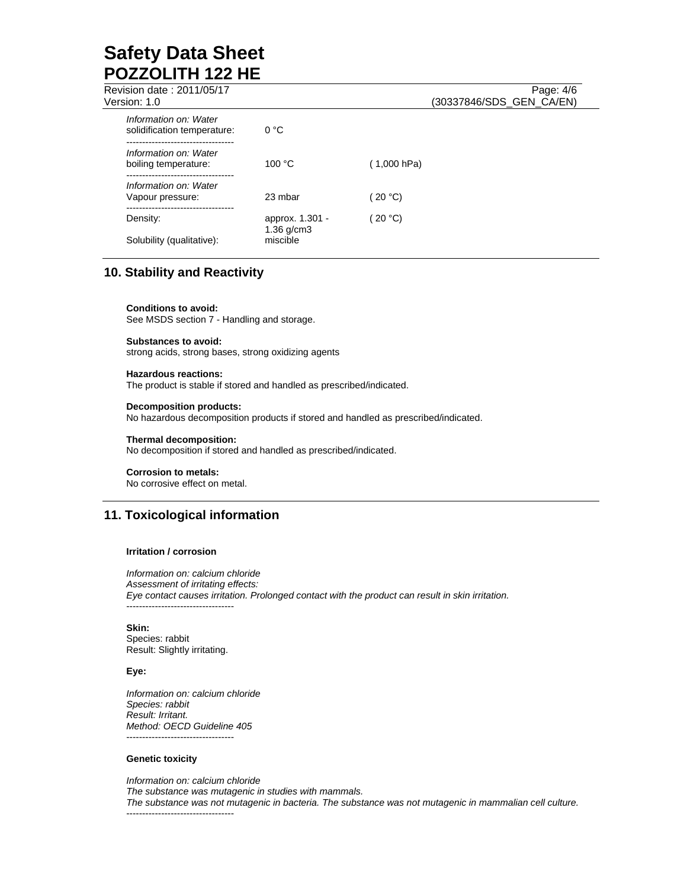| Revision date: 2011/05/17<br>Version: 1.0            |                             | Page: 4/6<br>(30337846/SDS_GEN_CA/EN) |
|------------------------------------------------------|-----------------------------|---------------------------------------|
| Information on: Water<br>solidification temperature: | 0 °C                        |                                       |
| Information on: Water<br>boiling temperature:        | 100 °C                      | (1,000 hPa)                           |
| Information on: Water<br>Vapour pressure:            | 23 mbar                     | 20 °C                                 |
| Density:                                             | approx. 1.301 -             | 20 °C)                                |
| Solubility (qualitative):                            | $1.36$ g/cm $3$<br>miscible |                                       |
|                                                      |                             |                                       |

# **10. Stability and Reactivity**

**Conditions to avoid:** See MSDS section 7 - Handling and storage.

**Substances to avoid:** strong acids, strong bases, strong oxidizing agents

**Hazardous reactions:** The product is stable if stored and handled as prescribed/indicated.

#### **Decomposition products:**

No hazardous decomposition products if stored and handled as prescribed/indicated.

#### **Thermal decomposition:**

No decomposition if stored and handled as prescribed/indicated.

#### **Corrosion to metals:**

No corrosive effect on metal.

## **11. Toxicological information**

#### **Irritation / corrosion**

*Information on: calcium chloride Assessment of irritating effects: Eye contact causes irritation. Prolonged contact with the product can result in skin irritation.*  ----------------------------------

**Skin:**  Species: rabbit Result: Slightly irritating.

#### **Eye:**

*Information on: calcium chloride Species: rabbit Result: Irritant. Method: OECD Guideline 405*  ----------------------------------

### **Genetic toxicity**

*Information on: calcium chloride The substance was mutagenic in studies with mammals. The substance was not mutagenic in bacteria. The substance was not mutagenic in mammalian cell culture.*  ----------------------------------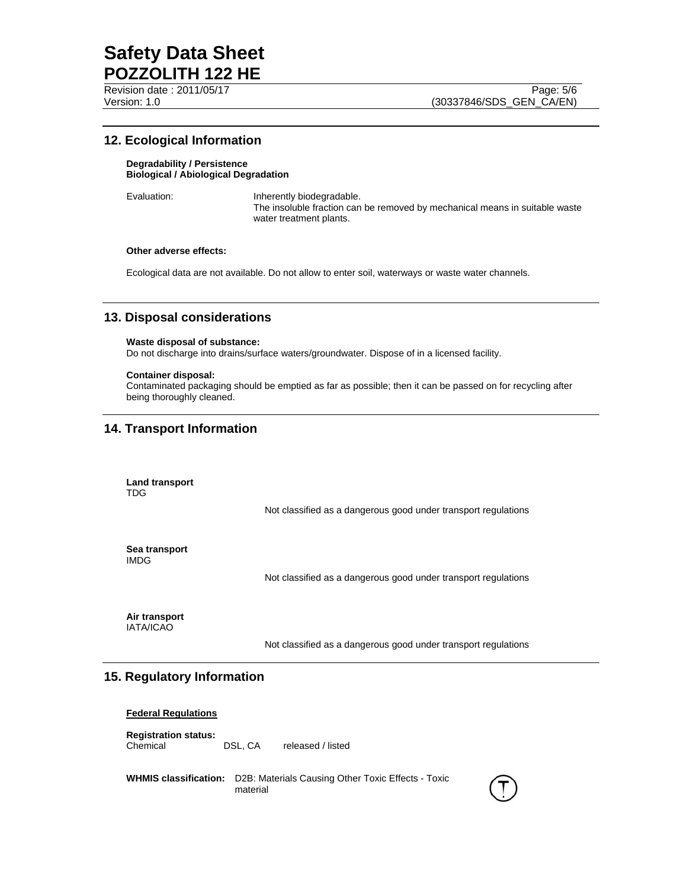Revision date : 2011/05/17 Page: 5/6

## **12. Ecological Information**

#### **Degradability / Persistence Biological / Abiological Degradation**

Evaluation: **Inherently biodegradable.** The insoluble fraction can be removed by mechanical means in suitable waste water treatment plants.

#### **Other adverse effects:**

Ecological data are not available. Do not allow to enter soil, waterways or waste water channels.

## **13. Disposal considerations**

#### **Waste disposal of substance:**

Do not discharge into drains/surface waters/groundwater. Dispose of in a licensed facility.

#### **Container disposal:**

Contaminated packaging should be emptied as far as possible; then it can be passed on for recycling after being thoroughly cleaned.

## **14. Transport Information**

**Land transport**  TDG

Not classified as a dangerous good under transport regulations

**Sea transport**  IMDG

Not classified as a dangerous good under transport regulations

**Air transport**  IATA/ICAO

Not classified as a dangerous good under transport regulations

## **15. Regulatory Information**

#### **Federal Regulations**

**Registration status:**  DSL, CA released / listed

**WHMIS classification:** D2B: Materials Causing Other Toxic Effects - Toxic material